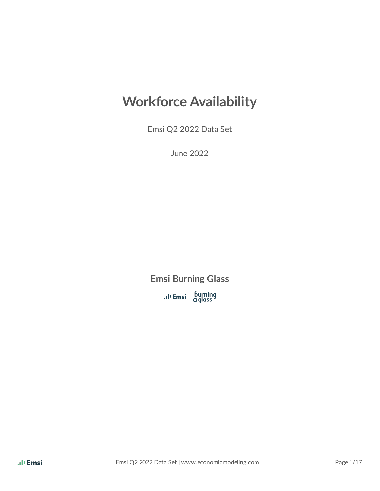## **Workforce Availability**

Emsi Q2 2022 Data Set

June 2022

**Emsi Burning Glass**

**.** I' Emsi | burning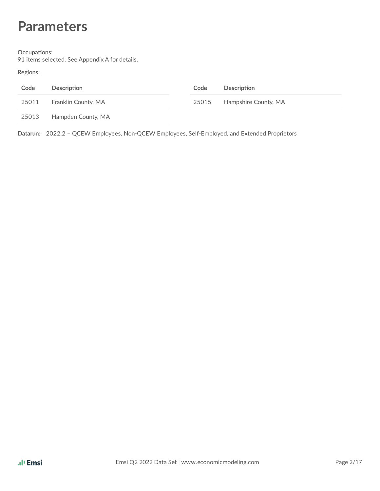## **Parameters**

#### **Occupations:**

91 items selected. See Appendix A for details.

**Regions:**

| Code  | Description         | Code  | Description          |
|-------|---------------------|-------|----------------------|
| 25011 | Franklin County, MA | 25015 | Hampshire County, MA |
| 25013 | Hampden County, MA  |       |                      |

**Datarun:** 2022.2 – QCEW Employees, Non-QCEW Employees, Self-Employed, and Extended Proprietors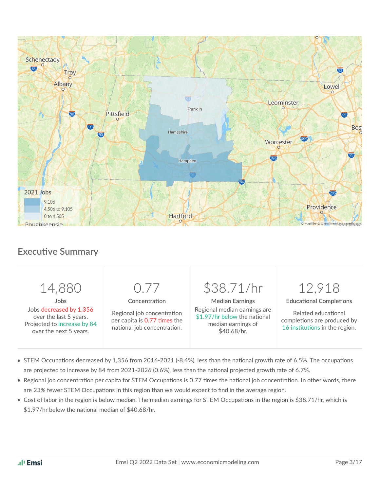

## **Executive Summary**



- STEM Occupations decreased by 1,356 from 2016-2021 (-8.4%), less than the national growth rate of 6.5%. The occupations are projected to increase by 84 from 2021-2026 (0.6%), less than the national projected growth rate of 6.7%.
- Regional job concentration per capita for STEM Occupations is 0.77 times the national job concentration. In other words, there are 23% fewer STEM Occupations in this region than we would expect to find in the average region.
- Cost of labor in the region is below median. The median earnings for STEM Occupations in the region is \$38.71/hr, which is  $$1.97/hr$  below the national median of  $$40.68/hr$ .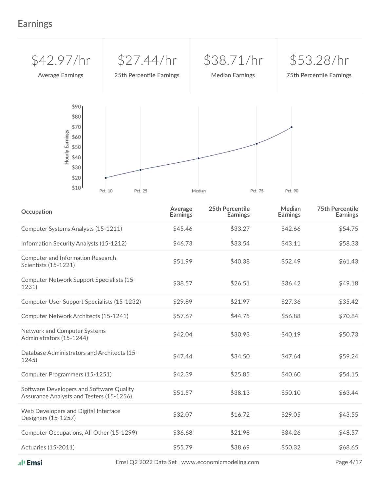## **Earnings**



| Occupation                                                                           | Average<br><b>Earnings</b> | 25th Percentile<br><b>Earnings</b> | Median<br><b>Earnings</b> | <b>75th Percentile</b><br><b>Earnings</b> |
|--------------------------------------------------------------------------------------|----------------------------|------------------------------------|---------------------------|-------------------------------------------|
| Computer Systems Analysts (15-1211)                                                  | \$45.46                    | \$33.27                            | \$42.66                   | \$54.75                                   |
| Information Security Analysts (15-1212)                                              | \$46.73                    | \$33.54                            | \$43.11                   | \$58.33                                   |
| Computer and Information Research<br>Scientists (15-1221)                            | \$51.99                    | \$40.38                            | \$52.49                   | \$61.43                                   |
| Computer Network Support Specialists (15-<br>1231)                                   | \$38.57                    | \$26.51                            | \$36.42                   | \$49.18                                   |
| Computer User Support Specialists (15-1232)                                          | \$29.89                    | \$21.97                            | \$27.36                   | \$35.42                                   |
| Computer Network Architects (15-1241)                                                | \$57.67                    | \$44.75                            | \$56.88                   | \$70.84                                   |
| Network and Computer Systems<br>Administrators (15-1244)                             | \$42.04                    | \$30.93                            | \$40.19                   | \$50.73                                   |
| Database Administrators and Architects (15-<br>1245)                                 | \$47.44                    | \$34.50                            | \$47.64                   | \$59.24                                   |
| Computer Programmers (15-1251)                                                       | \$42.39                    | \$25.85                            | \$40.60                   | \$54.15                                   |
| Software Developers and Software Quality<br>Assurance Analysts and Testers (15-1256) | \$51.57                    | \$38.13                            | \$50.10                   | \$63.44                                   |
| Web Developers and Digital Interface<br>Designers (15-1257)                          | \$32.07                    | \$16.72                            | \$29.05                   | \$43.55                                   |
| Computer Occupations, All Other (15-1299)                                            | \$36.68                    | \$21.98                            | \$34.26                   | \$48.57                                   |
| <b>Actuaries (15-2011)</b>                                                           | \$55.79                    | \$38.69                            | \$50.32                   | \$68.65                                   |

Emsi Q2 2022 Data Set | www.economicmodeling.com Page 4/17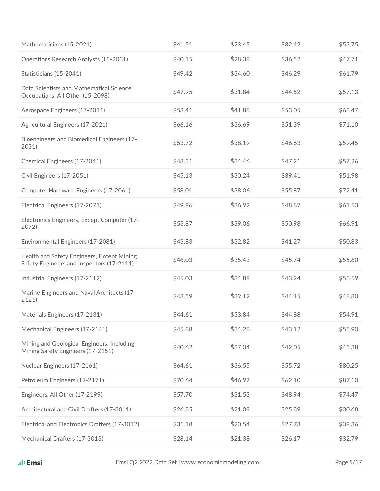| Mathematicians (15-2021)                                                                | \$41.51 | \$23.45 | \$32.42 | \$53.75 |
|-----------------------------------------------------------------------------------------|---------|---------|---------|---------|
| Operations Research Analysts (15-2031)                                                  | \$40.15 | \$28.38 | \$36.52 | \$47.71 |
| Statisticians (15-2041)                                                                 | \$49.42 | \$34.60 | \$46.29 | \$61.79 |
| Data Scientists and Mathematical Science<br>Occupations, All Other (15-2098)            | \$47.95 | \$31.84 | \$44.52 | \$57.13 |
| Aerospace Engineers (17-2011)                                                           | \$53.41 | \$41.88 | \$53.05 | \$63.47 |
| Agricultural Engineers (17-2021)                                                        | \$66.16 | \$36.69 | \$51.39 | \$71.10 |
| Bioengineers and Biomedical Engineers (17-<br>2031)                                     | \$53.72 | \$38.19 | \$46.63 | \$59.45 |
| Chemical Engineers (17-2041)                                                            | \$48.31 | \$34.46 | \$47.21 | \$57.26 |
| Civil Engineers (17-2051)                                                               | \$45.13 | \$30.24 | \$39.41 | \$51.98 |
| Computer Hardware Engineers (17-2061)                                                   | \$58.01 | \$38.06 | \$55.87 | \$72.41 |
| Electrical Engineers (17-2071)                                                          | \$49.96 | \$36.92 | \$48.87 | \$61.53 |
| Electronics Engineers, Except Computer (17-<br>2072)                                    | \$53.87 | \$39.06 | \$50.98 | \$66.91 |
| Environmental Engineers (17-2081)                                                       | \$43.83 | \$32.82 | \$41.27 | \$50.83 |
| Health and Safety Engineers, Except Mining<br>Safety Engineers and Inspectors (17-2111) | \$46.03 | \$35.43 | \$45.74 | \$55.60 |
| Industrial Engineers (17-2112)                                                          | \$45.03 | \$34.89 | \$43.24 | \$53.59 |
| Marine Engineers and Naval Architects (17-<br>2121)                                     | \$43.59 | \$39.12 | \$44.15 | \$48.80 |
| Materials Engineers (17-2131)                                                           | \$44.61 | \$33.84 | \$44.88 | \$54.91 |
| Mechanical Engineers (17-2141)                                                          | \$45.88 | \$34.28 | \$43.12 | \$55.90 |
| Mining and Geological Engineers, Including<br>Mining Safety Engineers (17-2151)         | \$40.62 | \$37.04 | \$42.05 | \$45.38 |
| Nuclear Engineers (17-2161)                                                             | \$64.61 | \$36.55 | \$55.72 | \$80.25 |
| Petroleum Engineers (17-2171)                                                           | \$70.64 | \$46.97 | \$62.10 | \$87.10 |
| Engineers, All Other (17-2199)                                                          | \$57.70 | \$31.53 | \$48.94 | \$74.47 |
| Architectural and Civil Drafters (17-3011)                                              | \$26.85 | \$21.09 | \$25.89 | \$30.68 |
| Electrical and Electronics Drafters (17-3012)                                           | \$31.18 | \$20.54 | \$27.73 | \$39.36 |
| Mechanical Drafters (17-3013)                                                           | \$28.14 | \$21.38 | \$26.17 | \$32.79 |
|                                                                                         |         |         |         |         |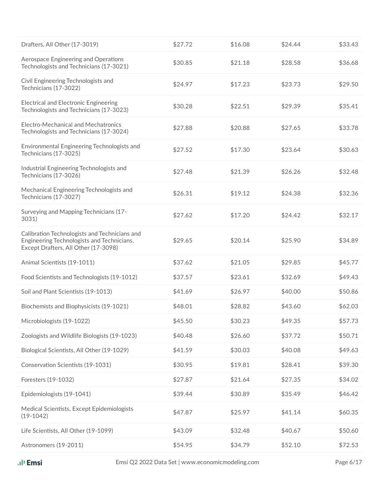| \$27.72 | \$16.08 | \$24.44 | \$33.43 |
|---------|---------|---------|---------|
| \$30.85 | \$21.18 | \$28.58 | \$36.68 |
| \$24.97 | \$17.23 | \$23.73 | \$29.50 |
| \$30.28 | \$22.51 | \$29.39 | \$35.41 |
| \$27.88 | \$20.88 | \$27.65 | \$33.78 |
| \$27.52 | \$17.30 | \$23.64 | \$30.63 |
| \$27.48 | \$21.39 | \$26.26 | \$32.48 |
| \$26.31 | \$19.12 | \$24.38 | \$32.36 |
| \$27.62 | \$17.20 | \$24.42 | \$32.17 |
| \$29.65 | \$20.14 | \$25.90 | \$34.89 |
| \$37.62 | \$21.05 | \$29.85 | \$45.77 |
| \$37.57 | \$23.61 | \$32.69 | \$49.43 |
| \$41.69 | \$26.97 | \$40.00 | \$50.86 |
| \$48.01 | \$28.82 | \$43.60 | \$62.03 |
| \$45.50 | \$30.23 | \$49.35 | \$57.73 |
| \$40.48 | \$26.60 | \$37.72 | \$50.71 |
| \$41.59 | \$30.03 | \$40.08 | \$49.63 |
| \$30.95 | \$19.81 | \$28.41 | \$39.30 |
| \$27.87 | \$21.64 | \$27.35 | \$34.02 |
| \$39.44 | \$30.89 | \$35.49 | \$46.42 |
| \$47.87 | \$25.97 | \$41.14 | \$60.35 |
| \$43.09 | \$32.48 | \$40.67 | \$50.60 |
| \$54.95 | \$34.79 | \$52.10 | \$72.53 |
|         |         |         |         |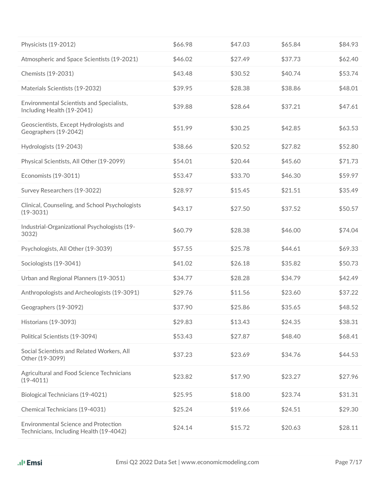| Physicists (19-2012)                                                                   | \$66.98 | \$47.03 | \$65.84 | \$84.93 |
|----------------------------------------------------------------------------------------|---------|---------|---------|---------|
| Atmospheric and Space Scientists (19-2021)                                             | \$46.02 | \$27.49 | \$37.73 | \$62.40 |
| Chemists (19-2031)                                                                     | \$43.48 | \$30.52 | \$40.74 | \$53.74 |
| Materials Scientists (19-2032)                                                         | \$39.95 | \$28.38 | \$38.86 | \$48.01 |
| Environmental Scientists and Specialists,<br>Including Health (19-2041)                | \$39.88 | \$28.64 | \$37.21 | \$47.61 |
| Geoscientists, Except Hydrologists and<br>Geographers (19-2042)                        | \$51.99 | \$30.25 | \$42.85 | \$63.53 |
| Hydrologists (19-2043)                                                                 | \$38.66 | \$20.52 | \$27.82 | \$52.80 |
| Physical Scientists, All Other (19-2099)                                               | \$54.01 | \$20.44 | \$45.60 | \$71.73 |
| Economists (19-3011)                                                                   | \$53.47 | \$33.70 | \$46.30 | \$59.97 |
| Survey Researchers (19-3022)                                                           | \$28.97 | \$15.45 | \$21.51 | \$35.49 |
| Clinical, Counseling, and School Psychologists<br>$(19 - 3031)$                        | \$43.17 | \$27.50 | \$37.52 | \$50.57 |
| Industrial-Organizational Psychologists (19-<br>3032)                                  | \$60.79 | \$28.38 | \$46.00 | \$74.04 |
| Psychologists, All Other (19-3039)                                                     | \$57.55 | \$25.78 | \$44.61 | \$69.33 |
| Sociologists (19-3041)                                                                 | \$41.02 | \$26.18 | \$35.82 | \$50.73 |
| Urban and Regional Planners (19-3051)                                                  | \$34.77 | \$28.28 | \$34.79 | \$42.49 |
| Anthropologists and Archeologists (19-3091)                                            | \$29.76 | \$11.56 | \$23.60 | \$37.22 |
| Geographers (19-3092)                                                                  | \$37.90 | \$25.86 | \$35.65 | \$48.52 |
| Historians (19-3093)                                                                   | \$29.83 | \$13.43 | \$24.35 | \$38.31 |
| Political Scientists (19-3094)                                                         | \$53.43 | \$27.87 | \$48.40 | \$68.41 |
| Social Scientists and Related Workers, All<br>Other (19-3099)                          | \$37.23 | \$23.69 | \$34.76 | \$44.53 |
| Agricultural and Food Science Technicians<br>$(19-4011)$                               | \$23.82 | \$17.90 | \$23.27 | \$27.96 |
| Biological Technicians (19-4021)                                                       | \$25.95 | \$18.00 | \$23.74 | \$31.31 |
| Chemical Technicians (19-4031)                                                         | \$25.24 | \$19.66 | \$24.51 | \$29.30 |
| <b>Environmental Science and Protection</b><br>Technicians, Including Health (19-4042) | \$24.14 | \$15.72 | \$20.63 | \$28.11 |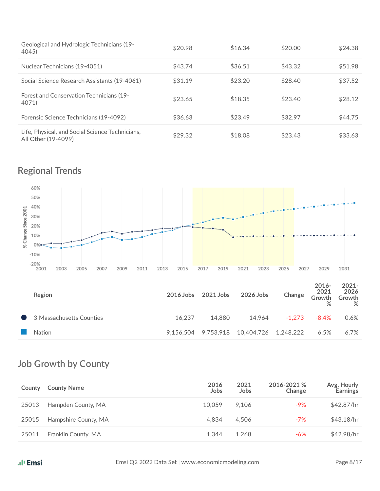| Geological and Hydrologic Technicians (19-<br>4045)                    | \$20.98 | \$16.34 | \$20.00 | \$24.38 |
|------------------------------------------------------------------------|---------|---------|---------|---------|
| Nuclear Technicians (19-4051)                                          | \$43.74 | \$36.51 | \$43.32 | \$51.98 |
| Social Science Research Assistants (19-4061)                           | \$31.19 | \$23.20 | \$28.40 | \$37.52 |
| Forest and Conservation Technicians (19-<br>4071)                      | \$23.65 | \$18.35 | \$23.40 | \$28.12 |
| Forensic Science Technicians (19-4092)                                 | \$36.63 | \$23.49 | \$32.97 | \$44.75 |
| Life, Physical, and Social Science Technicians,<br>All Other (19-4099) | \$29.32 | \$18.08 | \$23.43 | \$33.63 |

## **Regional Trends**



| Region                   |        | 2016 Jobs 2021 Jobs | 2026 Jobs                                | Change | $2016 -$<br>2021<br>Growth<br>% | $2021 -$<br>2026<br>Growth<br>% |
|--------------------------|--------|---------------------|------------------------------------------|--------|---------------------------------|---------------------------------|
| 3 Massachusetts Counties | 16.237 | 14.880              | 14.964                                   | -1.273 | -8.4%                           | 0.6%                            |
| Nation                   |        |                     | 9,156,504 9,753,918 10,404,726 1,248,222 |        | 6.5%                            | 6.7%                            |

## **Job Growth by County**

| County | <b>County Name</b>   | 2016<br>Jobs | 2021<br><b>Jobs</b> | 2016-2021 %<br>Change | Avg. Hourly<br><b>Earnings</b> |
|--------|----------------------|--------------|---------------------|-----------------------|--------------------------------|
| 25013  | Hampden County, MA   | 10.059       | 9.106               | $-9%$                 | \$42.87/hr                     |
| 25015  | Hampshire County, MA | 4.834        | 4.506               | $-7\%$                | \$43.18/hr                     |
| 25011  | Franklin County, MA  | 1.344        | 1.268               | -6%                   | \$42.98/hr                     |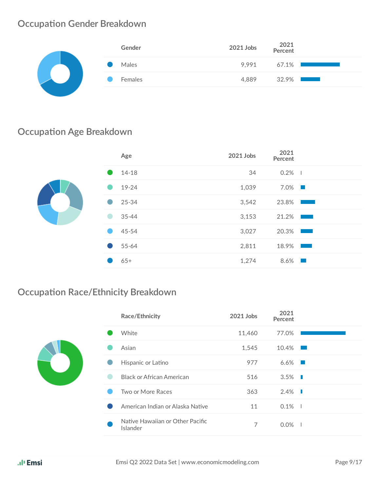## **Occupation Gender Breakdown**

| Gender  | 2021 Jobs | 2021<br>Percent                                                                                                                                  |
|---------|-----------|--------------------------------------------------------------------------------------------------------------------------------------------------|
| Males   |           | 9,991 67.1%                                                                                                                                      |
| Females | 4,889     | $32.9\%$ $\blacksquare$<br><b>Contract Contract Contract Contract Contract Contract Contract Contract Contract Contract Contract Contract Co</b> |
|         |           |                                                                                                                                                  |

## **Occupation Age Breakdown**

|  | Age       | 2021 Jobs | 2021<br>Percent                                                                                                                |  |
|--|-----------|-----------|--------------------------------------------------------------------------------------------------------------------------------|--|
|  | $14 - 18$ | 34        | $0.2\%$                                                                                                                        |  |
|  | 19-24     | 1,039     | $7.0\%$                                                                                                                        |  |
|  | 25-34     | 3,542     | 23.8%<br>and the state of the state of the state of the state of the state of the state of the state of the state of th        |  |
|  | $35 - 44$ | 3,153     | 21.2%<br><b>Contract Contract Contract Contract Contract Contract Contract Contract Contract Contract Contract Contract Co</b> |  |
|  | 45-54     | 3,027     | 20.3%<br>$\mathbb{R}^n \times \mathbb{R}^n$                                                                                    |  |
|  | 55-64     | 2,811     | 18.9%<br><b>CONTRACTOR</b>                                                                                                     |  |
|  | $65+$     | 1,274     | $8.6\%$                                                                                                                        |  |
|  |           |           |                                                                                                                                |  |

## **Occupation Race/Ethnicity Breakdown**

|  | Race/Ethnicity                               | 2021 Jobs | 2021<br>Percent        |  |
|--|----------------------------------------------|-----------|------------------------|--|
|  | White                                        | 11,460    | 77.0%                  |  |
|  | Asian                                        | 1,545     | $10.4\%$               |  |
|  | Hispanic or Latino                           | 977       | $6.6\%$                |  |
|  | <b>Black or African American</b>             | 516       | $3.5\%$                |  |
|  | Two or More Races                            | 363       | $2.4\%$ $\blacksquare$ |  |
|  | American Indian or Alaska Native             | 11        | $0.1\%$                |  |
|  | Native Hawaiian or Other Pacific<br>Islander | 7         | $0.0\%$                |  |
|  |                                              |           |                        |  |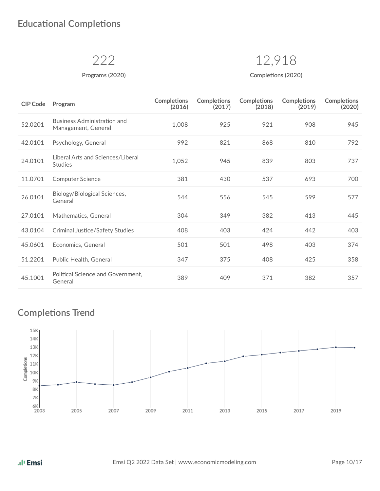## 222 12,918

**Programs** (2020) **Completions** (2020)

| <b>CIP Code</b> | Program                                                   | <b>Completions</b><br>(2016) | <b>Completions</b><br>(2017) | <b>Completions</b><br>(2018) | <b>Completions</b><br>(2019) | <b>Completions</b><br>(2020) |
|-----------------|-----------------------------------------------------------|------------------------------|------------------------------|------------------------------|------------------------------|------------------------------|
| 52.0201         | <b>Business Administration and</b><br>Management, General | 1,008                        | 925                          | 921                          | 908                          | 945                          |
| 42.0101         | Psychology, General                                       | 992                          | 821                          | 868                          | 810                          | 792                          |
| 24.0101         | Liberal Arts and Sciences/Liberal<br><b>Studies</b>       | 1,052                        | 945                          | 839                          | 803                          | 737                          |
| 11.0701         | <b>Computer Science</b>                                   | 381                          | 430                          | 537                          | 693                          | 700                          |
| 26.0101         | Biology/Biological Sciences,<br>General                   | 544                          | 556                          | 545                          | 599                          | 577                          |
| 27.0101         | Mathematics, General                                      | 304                          | 349                          | 382                          | 413                          | 445                          |
| 43.0104         | <b>Criminal Justice/Safety Studies</b>                    | 408                          | 403                          | 424                          | 442                          | 403                          |
| 45.0601         | Economics, General                                        | 501                          | 501                          | 498                          | 403                          | 374                          |
| 51.2201         | Public Health, General                                    | 347                          | 375                          | 408                          | 425                          | 358                          |
| 45.1001         | Political Science and Government,<br>General              | 389                          | 409                          | 371                          | 382                          | 357                          |

## **Completions Trend**

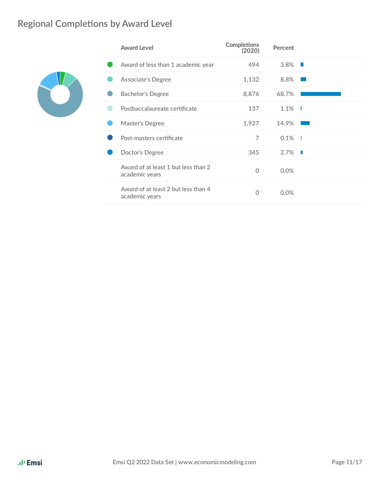## **Regional Completions by Award Level**



| <b>Award Level</b>                                    | <b>Completions</b><br>(2020) | Percent |   |
|-------------------------------------------------------|------------------------------|---------|---|
| Award of less than 1 academic year                    | 494                          | 3.8%    |   |
| Associate's Degree                                    | 1,132                        | 8.8%    |   |
| <b>Bachelor's Degree</b>                              | 8,876                        | 68.7%   |   |
| Postbaccalaureate certificate                         | 137                          | $1.1\%$ |   |
| Master's Degree                                       | 1,927                        | 14.9%   |   |
| Post-masters certificate                              | 7                            | 0.1%    |   |
| Doctor's Degree                                       | 345                          | $2.7\%$ | ш |
| Award of at least 1 but less than 2<br>academic years | 0                            | 0.0%    |   |
| Award of at least 2 but less than 4<br>academic years | 0                            | 0.0%    |   |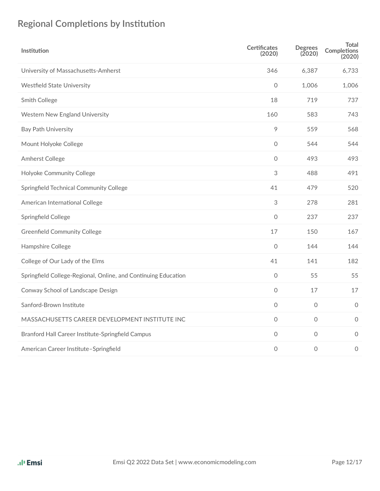## **Regional Completions by Institution**

| Institution                                                    | <b>Certificates</b><br>(2020) | <b>Degrees</b><br>(2020) | <b>Total</b><br><b>Completions</b><br>(2020) |
|----------------------------------------------------------------|-------------------------------|--------------------------|----------------------------------------------|
| University of Massachusetts-Amherst                            | 346                           | 6,387                    | 6,733                                        |
| <b>Westfield State University</b>                              | $\mathsf{O}$                  | 1,006                    | 1,006                                        |
| Smith College                                                  | 18                            | 719                      | 737                                          |
| Western New England University                                 | 160                           | 583                      | 743                                          |
| <b>Bay Path University</b>                                     | 9                             | 559                      | 568                                          |
| Mount Holyoke College                                          | $\circ$                       | 544                      | 544                                          |
| Amherst College                                                | $\mathsf O$                   | 493                      | 493                                          |
| Holyoke Community College                                      | 3                             | 488                      | 491                                          |
| Springfield Technical Community College                        | 41                            | 479                      | 520                                          |
| American International College                                 | $\ensuremath{\mathsf{3}}$     | 278                      | 281                                          |
| Springfield College                                            | $\mathsf{O}\xspace$           | 237                      | 237                                          |
| <b>Greenfield Community College</b>                            | 17                            | 150                      | 167                                          |
| Hampshire College                                              | $\circ$                       | 144                      | 144                                          |
| College of Our Lady of the Elms                                | 41                            | 141                      | 182                                          |
| Springfield College-Regional, Online, and Continuing Education | $\mathsf{O}\xspace$           | 55                       | 55                                           |
| Conway School of Landscape Design                              | $\mathsf{O}\xspace$           | 17                       | 17                                           |
| Sanford-Brown Institute                                        | $\mathsf{O}\xspace$           | $\mathbf 0$              | $\circ$                                      |
| MASSACHUSETTS CAREER DEVELOPMENT INSTITUTE INC                 | $\circ$                       | $\circ$                  | $\circ$                                      |
| Branford Hall Career Institute-Springfield Campus              | $\circ$                       | $\mathsf{O}\xspace$      | $\mathbf 0$                                  |
| American Career Institute-Springfield                          | $\mathbf 0$                   | 0                        | $\mathbf 0$                                  |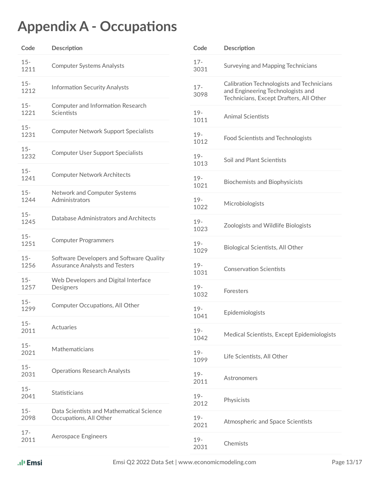## **Appendix A - Occupations**

| Code           | Description                                                                       | Code                   |  |
|----------------|-----------------------------------------------------------------------------------|------------------------|--|
| $15 -$<br>1211 | <b>Computer Systems Analysts</b>                                                  | $17 -$<br>3031         |  |
| $15 -$<br>1212 | <b>Information Security Analysts</b>                                              | $17 -$<br>3098         |  |
| $15 -$<br>1221 | Computer and Information Research<br>Scientists                                   | $19 -$<br>1011         |  |
| $15 -$<br>1231 | <b>Computer Network Support Specialists</b>                                       | $19 -$<br>1012         |  |
| $15 -$<br>1232 | <b>Computer User Support Specialists</b>                                          | $19 -$<br>1013         |  |
| $15 -$<br>1241 | <b>Computer Network Architects</b>                                                | $19 -$<br>1021         |  |
| $15 -$<br>1244 | Network and Computer Systems<br>Administrators                                    | $19 -$<br>1022         |  |
| $15 -$<br>1245 | Database Administrators and Architects                                            | $19 -$<br>1023         |  |
| $15 -$<br>1251 | <b>Computer Programmers</b>                                                       | $19 -$<br>1029         |  |
| $15 -$<br>1256 | Software Developers and Software Quality<br><b>Assurance Analysts and Testers</b> | $19 -$<br>1031         |  |
| $15 -$<br>1257 | Web Developers and Digital Interface<br>Designers                                 | $19 -$<br>1032         |  |
| $15 -$<br>1299 | Computer Occupations, All Other                                                   | $19 -$<br>1041         |  |
| $15 -$<br>2011 | Actuaries                                                                         | $19 -$                 |  |
| $15 -$<br>2021 | Mathematicians                                                                    | 1042<br>$19 -$<br>1099 |  |
| $15 -$<br>2031 | <b>Operations Research Analysts</b>                                               | $19 -$                 |  |
| $15 -$<br>2041 | Statisticians                                                                     | 2011<br>$19 -$         |  |
| $15 -$<br>2098 | Data Scientists and Mathematical Science<br>Occupations, All Other                | 2012<br>$19 -$         |  |
| $17 -$<br>2011 | Aerospace Engineers                                                               | 2021<br>$19 -$         |  |
|                |                                                                                   | 2031                   |  |

| Code           | Description                                                                                                               |
|----------------|---------------------------------------------------------------------------------------------------------------------------|
| $17 -$<br>3031 | Surveying and Mapping Technicians                                                                                         |
| $17 -$<br>3098 | Calibration Technologists and Technicians<br>and Engineering Technologists and<br>Technicians, Except Drafters, All Other |
| $19 -$<br>1011 | <b>Animal Scientists</b>                                                                                                  |
| $19 -$<br>1012 | <b>Food Scientists and Technologists</b>                                                                                  |
| $19 -$<br>1013 | Soil and Plant Scientists                                                                                                 |
| $19 -$<br>1021 | <b>Biochemists and Biophysicists</b>                                                                                      |
| $19 -$<br>1022 | Microbiologists                                                                                                           |
| $19 -$<br>1023 | Zoologists and Wildlife Biologists                                                                                        |
| $19 -$<br>1029 | Biological Scientists, All Other                                                                                          |
| $19-$<br>1031  | <b>Conservation Scientists</b>                                                                                            |
| $19 -$<br>1032 | Foresters                                                                                                                 |
| $19 -$<br>1041 | Epidemiologists                                                                                                           |
| $19 -$<br>1042 | Medical Scientists, Except Epidemiologists                                                                                |
| $19 -$<br>1099 | Life Scientists, All Other                                                                                                |
| $19 -$<br>2011 | Astronomers                                                                                                               |
| $19 -$<br>2012 | Physicists                                                                                                                |
| $19 -$<br>2021 | Atmospheric and Space Scientists                                                                                          |
| $19 -$<br>2031 | Chemists                                                                                                                  |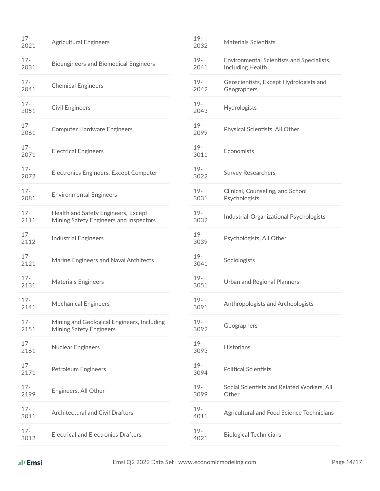| $17 -$<br>2021 | <b>Agricultural Engineers</b>                                                 | $19 -$<br>2032 | <b>Materials Scientists</b>                                   |
|----------------|-------------------------------------------------------------------------------|----------------|---------------------------------------------------------------|
| $17 -$<br>2031 | <b>Bioengineers and Biomedical Engineers</b>                                  | $19 -$<br>2041 | Environmental Scientists and Specialists,<br>Including Health |
| $17 -$<br>2041 | <b>Chemical Engineers</b>                                                     | $19 -$<br>2042 | Geoscientists, Except Hydrologists and<br>Geographers         |
| $17 -$<br>2051 | <b>Civil Engineers</b>                                                        | $19 -$<br>2043 | Hydrologists                                                  |
| $17 -$<br>2061 | <b>Computer Hardware Engineers</b>                                            | $19 -$<br>2099 | Physical Scientists, All Other                                |
| $17 -$<br>2071 | <b>Electrical Engineers</b>                                                   | $19 -$<br>3011 | Economists                                                    |
| $17 -$<br>2072 | Electronics Engineers, Except Computer                                        | $19 -$<br>3022 | <b>Survey Researchers</b>                                     |
| $17 -$<br>2081 | <b>Environmental Engineers</b>                                                | $19 -$<br>3031 | Clinical, Counseling, and School<br>Psychologists             |
| $17 -$<br>2111 | Health and Safety Engineers, Except<br>Mining Safety Engineers and Inspectors | $19 -$<br>3032 | Industrial-Organizational Psychologists                       |
| $17 -$<br>2112 | <b>Industrial Engineers</b>                                                   | $19 -$<br>3039 | Psychologists, All Other                                      |
| $17 -$<br>2121 | Marine Engineers and Naval Architects                                         | $19 -$<br>3041 | Sociologists                                                  |
| $17 -$<br>2131 | <b>Materials Engineers</b>                                                    | $19 -$<br>3051 | <b>Urban and Regional Planners</b>                            |
| $17 -$<br>2141 | <b>Mechanical Engineers</b>                                                   | $19 -$<br>3091 | Anthropologists and Archeologists                             |
| $17 -$<br>2151 | Mining and Geological Engineers, Including<br><b>Mining Safety Engineers</b>  | $19 -$<br>3092 | Geographers                                                   |
| $17 -$<br>2161 | <b>Nuclear Engineers</b>                                                      | $19 -$<br>3093 | Historians                                                    |
| $17 -$<br>2171 | <b>Petroleum Engineers</b>                                                    | $19 -$<br>3094 | <b>Political Scientists</b>                                   |
| $17 -$<br>2199 | Engineers, All Other                                                          | $19 -$<br>3099 | Social Scientists and Related Workers, All<br>Other           |
| $17 -$<br>3011 | Architectural and Civil Drafters                                              | $19 -$<br>4011 | Agricultural and Food Science Technicians                     |
| $17 -$<br>3012 | <b>Electrical and Electronics Drafters</b>                                    | $19 -$<br>4021 | <b>Biological Technicians</b>                                 |

| ıl <sup>ı</sup> Emsi |  |
|----------------------|--|

ä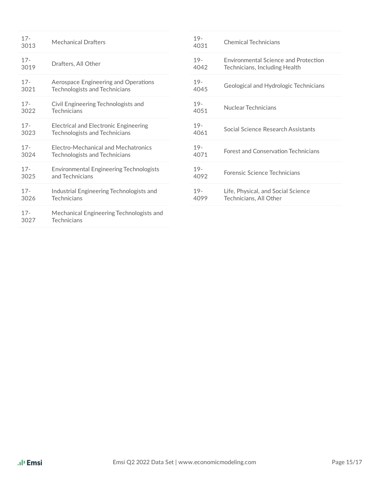| $17 -$<br>3013 | <b>Mechanical Drafters</b>                                     | $19 -$<br>4031 | <b>Chemical Technicians</b>                |
|----------------|----------------------------------------------------------------|----------------|--------------------------------------------|
| $17 -$         | Drafters, All Other                                            | $19 -$         | Environmental Science and Protection       |
| 3019           |                                                                | 4042           | Technicians, Including Health              |
| $17 -$         | Aerospace Engineering and Operations                           | $19 -$         | Geological and Hydrologic Technicians      |
| 3021           | <b>Technologists and Technicians</b>                           | 4045           |                                            |
| $17 -$         | Civil Engineering Technologists and                            | $19 -$         | Nuclear Technicians                        |
| 3022           | Technicians                                                    | 4051           |                                            |
| $17 -$         | <b>Electrical and Electronic Engineering</b>                   | $19 -$         | Social Science Research Assistants         |
| 3023           | <b>Technologists and Technicians</b>                           | 4061           |                                            |
| $17 -$         | Electro-Mechanical and Mechatronics                            | $19 -$         | <b>Forest and Conservation Technicians</b> |
| 3024           | <b>Technologists and Technicians</b>                           | 4071           |                                            |
| $17 -$         | <b>Environmental Engineering Technologists</b>                 | $19 -$         | Forensic Science Technicians               |
| 3025           | and Technicians                                                | 4092           |                                            |
| $17 -$         | Industrial Engineering Technologists and                       | $19-$          | Life, Physical, and Social Science         |
| 3026           | Technicians                                                    | 4099           | Technicians, All Other                     |
| $17 -$<br>3027 | Mechanical Engineering Technologists and<br><b>Technicians</b> |                |                                            |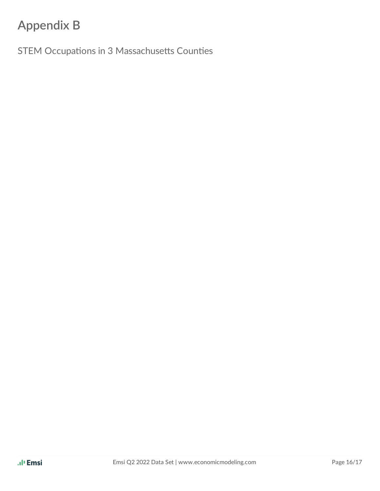## **Appendix B**

STEM Occupations in 3 Massachusetts Counties